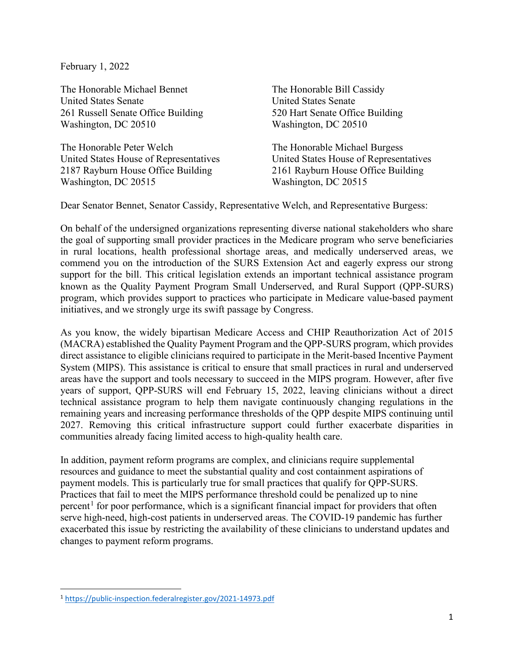February 1, 2022

The Honorable Michael Bennet United States Senate 261 Russell Senate Office Building Washington, DC 20510

The Honorable Peter Welch United States House of Representatives 2187 Rayburn House Office Building Washington, DC 20515

The Honorable Bill Cassidy United States Senate 520 Hart Senate Office Building Washington, DC 20510

The Honorable Michael Burgess United States House of Representatives 2161 Rayburn House Office Building Washington, DC 20515

Dear Senator Bennet, Senator Cassidy, Representative Welch, and Representative Burgess:

On behalf of the undersigned organizations representing diverse national stakeholders who share the goal of supporting small provider practices in the Medicare program who serve beneficiaries in rural locations, health professional shortage areas, and medically underserved areas, we commend you on the introduction of the SURS Extension Act and eagerly express our strong support for the bill. This critical legislation extends an important technical assistance program known as the Quality Payment Program Small Underserved, and Rural Support (QPP-SURS) program, which provides support to practices who participate in Medicare value-based payment initiatives, and we strongly urge its swift passage by Congress.

As you know, the widely bipartisan Medicare Access and CHIP Reauthorization Act of 2015 (MACRA) established the Quality Payment Program and the QPP-SURS program, which provides direct assistance to eligible clinicians required to participate in the Merit-based Incentive Payment System (MIPS). This assistance is critical to ensure that small practices in rural and underserved areas have the support and tools necessary to succeed in the MIPS program. However, after five years of support, QPP-SURS will end February 15, 2022, leaving clinicians without a direct technical assistance program to help them navigate continuously changing regulations in the remaining years and increasing performance thresholds of the QPP despite MIPS continuing until 2027. Removing this critical infrastructure support could further exacerbate disparities in communities already facing limited access to high-quality health care.

In addition, payment reform programs are complex, and clinicians require supplemental resources and guidance to meet the substantial quality and cost containment aspirations of payment models. This is particularly true for small practices that qualify for QPP-SURS. Practices that fail to meet the MIPS performance threshold could be penalized up to nine percent<sup>[1](#page-0-0)</sup> for poor performance, which is a significant financial impact for providers that often serve high-need, high-cost patients in underserved areas. The COVID-19 pandemic has further exacerbated this issue by restricting the availability of these clinicians to understand updates and changes to payment reform programs.

<span id="page-0-0"></span><sup>1</sup> <https://public-inspection.federalregister.gov/2021-14973.pdf>